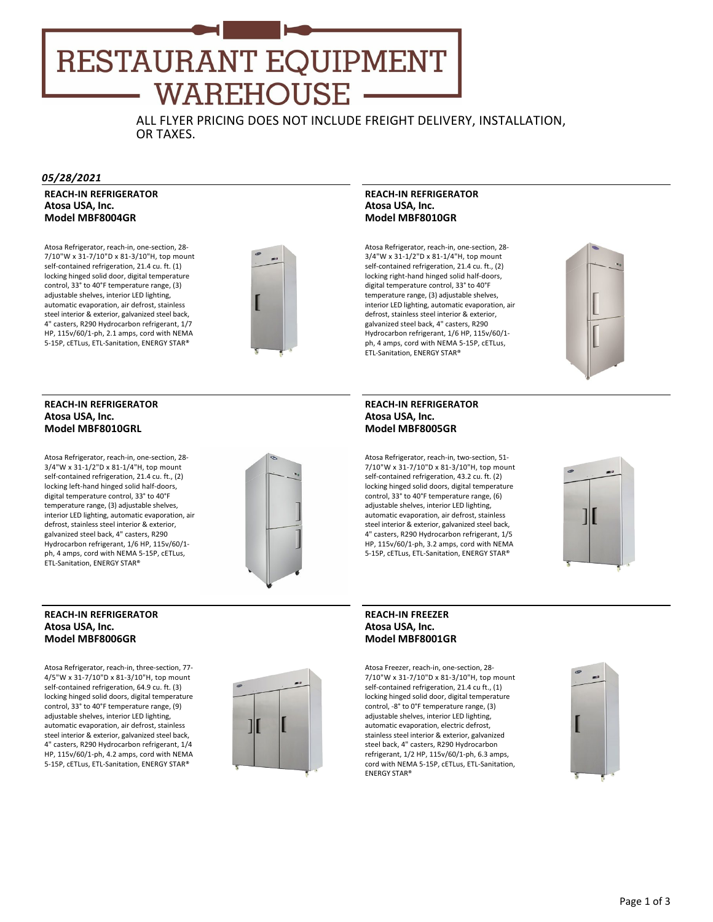# **RESTAURANT EQUIPMENT WAREHOUSE**

ALL FLYER PRICING DOES NOT INCLUDE FREIGHT DELIVERY, INSTALLATION, OR TAXES.

#### *05/28/2021*

**REACH‐IN REFRIGERATOR Atosa USA, Inc. Model MBF8004GR**

Atosa Refrigerator, reach‐in, one‐section, 28‐ 7/10"W x 31‐7/10"D x 81‐3/10"H, top mount self-contained refrigeration, 21.4 cu. ft. (1) locking hinged solid door, digital temperature control, 33° to 40°F temperature range, (3) adjustable shelves, interior LED lighting, automatic evaporation, air defrost, stainless steel interior & exterior, galvanized steel back, 4" casters, R290 Hydrocarbon refrigerant, 1/7 HP, 115v/60/1‐ph, 2.1 amps, cord with NEMA 5‐15P, cETLus, ETL‐Sanitation, ENERGY STAR®

**REACH‐IN REFRIGERATOR**

Atosa Refrigerator, reach‐in, one‐section, 28‐ 3/4"W x 31‐1/2"D x 81‐1/4"H, top mount self-contained refrigeration, 21.4 cu. ft., (2) locking left‐hand hinged solid half‐doors, digital temperature control, 33° to 40°F temperature range, (3) adjustable shelves, interior LED lighting, automatic evaporation, air defrost, stainless steel interior & exterior, galvanized steel back, 4" casters, R290 Hydrocarbon refrigerant, 1/6 HP, 115v/60/1‐ ph, 4 amps, cord with NEMA 5‐15P, cETLus,

**Atosa USA, Inc. Model MBF8010GRL**



#### **REACH‐IN REFRIGERATOR Atosa USA, Inc. Model MBF8010GR**

Atosa Refrigerator, reach-in, one-section, 28-3/4"W x 31‐1/2"D x 81‐1/4"H, top mount self-contained refrigeration, 21.4 cu. ft., (2) locking right‐hand hinged solid half‐doors, digital temperature control, 33° to 40°F temperature range, (3) adjustable shelves, interior LED lighting, automatic evaporation, air defrost, stainless steel interior & exterior, galvanized steel back, 4" casters, R290 Hydrocarbon refrigerant, 1/6 HP, 115v/60/1‐ ph, 4 amps, cord with NEMA 5‐15P, cETLus, ETL‐Sanitation, ENERGY STAR®



### **REACH‐IN REFRIGERATOR Atosa USA, Inc. Model MBF8005GR**

Atosa Refrigerator, reach‐in, two‐section, 51‐ 7/10"W x 31‐7/10"D x 81‐3/10"H, top mount self-contained refrigeration, 43.2 cu. ft. (2) locking hinged solid doors, digital temperature control, 33° to 40°F temperature range, (6) adjustable shelves, interior LED lighting, automatic evaporation, air defrost, stainless steel interior & exterior, galvanized steel back, 4" casters, R290 Hydrocarbon refrigerant, 1/5 HP, 115v/60/1‐ph, 3.2 amps, cord with NEMA



5‐15P, cETLus, ETL‐Sanitation, ENERGY STAR®

#### **REACH‐IN REFRIGERATOR Atosa USA, Inc. Model MBF8006GR**

ETL‐Sanitation, ENERGY STAR®

Atosa Refrigerator, reach‐in, three‐section, 77‐ 4/5"W x 31‐7/10"D x 81‐3/10"H, top mount self-contained refrigeration, 64.9 cu. ft. (3) locking hinged solid doors, digital temperature control, 33° to 40°F temperature range, (9) adjustable shelves, interior LED lighting, automatic evaporation, air defrost, stainless steel interior & exterior, galvanized steel back, 4" casters, R290 Hydrocarbon refrigerant, 1/4 HP, 115v/60/1‐ph, 4.2 amps, cord with NEMA 5‐15P, cETLus, ETL‐Sanitation, ENERGY STAR®



# **REACH‐IN FREEZER Atosa USA, Inc. Model MBF8001GR**

Atosa Freezer, reach‐in, one‐section, 28‐ 7/10"W x 31‐7/10"D x 81‐3/10"H, top mount self-contained refrigeration, 21.4 cu ft., (1) locking hinged solid door, digital temperature control, ‐8° to 0°F temperature range, (3) adjustable shelves, interior LED lighting, automatic evaporation, electric defrost, stainless steel interior & exterior, galvanized steel back, 4" casters, R290 Hydrocarbon refrigerant, 1/2 HP, 115v/60/1‐ph, 6.3 amps, cord with NEMA 5‐15P, cETLus, ETL‐Sanitation, ENERGY STAR®

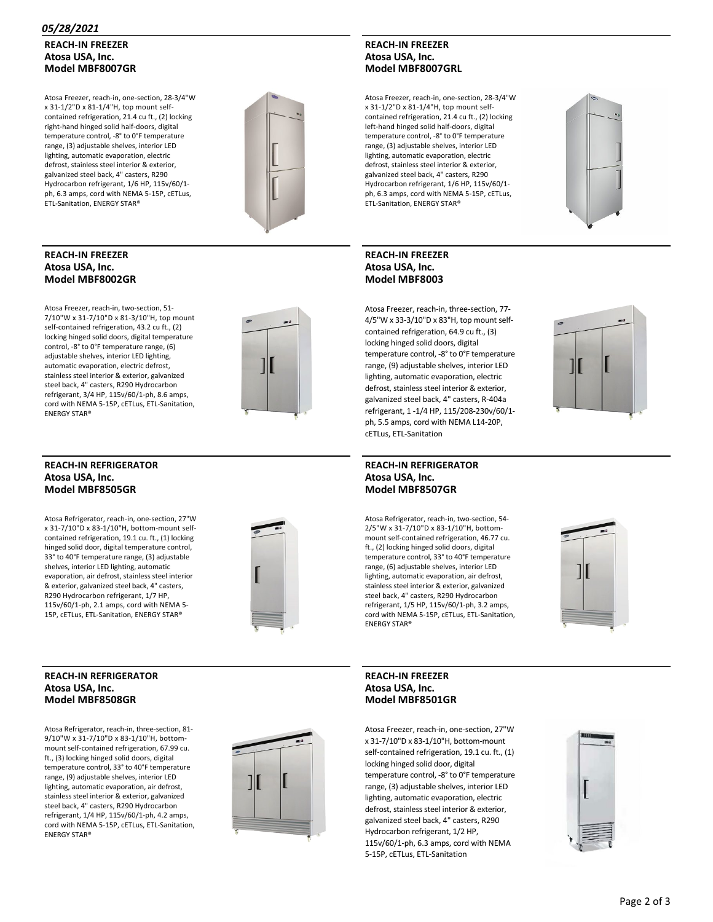#### *05/28/2021*

# **REACH‐IN FREEZER Atosa USA, Inc. Model MBF8007GR**

Atosa Freezer, reach‐in, one‐section, 28‐3/4"W x 31‐1/2"D x 81‐1/4"H, top mount self‐ contained refrigeration, 21.4 cu ft., (2) locking right‐hand hinged solid half‐doors, digital temperature control, ‐8° to 0°F temperature range, (3) adjustable shelves, interior LED lighting, automatic evaporation, electric defrost, stainless steel interior & exterior, galvanized steel back, 4" casters, R290 Hydrocarbon refrigerant, 1/6 HP, 115v/60/1‐ ph, 6.3 amps, cord with NEMA 5‐15P, cETLus, ETL‐Sanitation, ENERGY STAR®



#### **REACH‐IN FREEZER Atosa USA, Inc. Model MBF8002GR**

Atosa Freezer, reach‐in, two‐section, 51‐ 7/10"W x 31‐7/10"D x 81‐3/10"H, top mount self-contained refrigeration, 43.2 cu ft., (2) locking hinged solid doors, digital temperature control, ‐8° to 0°F temperature range, (6) adjustable shelves, interior LED lighting, automatic evaporation, electric defrost, stainless steel interior & exterior, galvanized steel back, 4" casters, R290 Hydrocarbon refrigerant, 3/4 HP, 115v/60/1‐ph, 8.6 amps, cord with NEMA 5‐15P, cETLus, ETL‐Sanitation, ENERGY STAR®



#### **REACH‐IN REFRIGERATOR Atosa USA, Inc. Model MBF8505GR**

Atosa Refrigerator, reach‐in, one‐section, 27"W x 31‐7/10"D x 83‐1/10"H, bottom‐mount self‐ contained refrigeration, 19.1 cu. ft., (1) locking hinged solid door, digital temperature control, 33° to 40°F temperature range, (3) adjustable shelves, interior LED lighting, automatic evaporation, air defrost, stainless steel interior & exterior, galvanized steel back, 4" casters, R290 Hydrocarbon refrigerant, 1/7 HP, 115v/60/1‐ph, 2.1 amps, cord with NEMA 5‐ 15P, cETLus, ETL‐Sanitation, ENERGY STAR®



#### **REACH‐IN REFRIGERATOR Atosa USA, Inc. Model MBF8508GR**

Atosa Refrigerator, reach‐in, three‐section, 81‐ 9/10"W x 31‐7/10"D x 83‐1/10"H, bottom‐ mount self‐contained refrigeration, 67.99 cu. ft., (3) locking hinged solid doors, digital temperature control, 33° to 40°F temperature range, (9) adjustable shelves, interior LED lighting, automatic evaporation, air defrost, stainless steel interior & exterior, galvanized steel back, 4" casters, R290 Hydrocarbon refrigerant, 1/4 HP, 115v/60/1‐ph, 4.2 amps, cord with NEMA 5‐15P, cETLus, ETL‐Sanitation, ENERGY STAR®



# **REACH‐IN FREEZER Atosa USA, Inc. Model MBF8007GRL**

Atosa Freezer, reach‐in, one‐section, 28‐3/4"W x 31‐1/2"D x 81‐1/4"H, top mount self‐ contained refrigeration, 21.4 cu ft., (2) locking left‐hand hinged solid half‐doors, digital temperature control, ‐8° to 0°F temperature range, (3) adjustable shelves, interior LED lighting, automatic evaporation, electric defrost, stainless steel interior & exterior, galvanized steel back, 4" casters, R290 Hydrocarbon refrigerant, 1/6 HP, 115v/60/1‐ ph, 6.3 amps, cord with NEMA 5‐15P, cETLus, ETL‐Sanitation, ENERGY STAR®

# **REACH‐IN FREEZER Atosa USA, Inc. Model MBF8003**

Atosa Freezer, reach‐in, three‐section, 77‐ 4/5"W x 33‐3/10"D x 83"H, top mount self‐ contained refrigeration, 64.9 cu ft., (3) locking hinged solid doors, digital temperature control, ‐8° to 0°F temperature range, (9) adjustable shelves, interior LED lighting, automatic evaporation, electric defrost, stainless steel interior & exterior, galvanized steel back, 4" casters, R‐404a refrigerant, 1 ‐1/4 HP, 115/208‐230v/60/1‐ ph, 5.5 amps, cord with NEMA L14‐20P, cETLus, ETL‐Sanitation

#### **REACH‐IN REFRIGERATOR Atosa USA, Inc. Model MBF8507GR**

Atosa Refrigerator, reach‐in, two‐section, 54‐ 2/5"W x 31‐7/10"D x 83‐1/10"H, bottom‐ mount self‐contained refrigeration, 46.77 cu. ft., (2) locking hinged solid doors, digital temperature control, 33° to 40°F temperature range, (6) adjustable shelves, interior LED lighting, automatic evaporation, air defrost, stainless steel interior & exterior, galvanized steel back, 4" casters, R290 Hydrocarbon refrigerant, 1/5 HP, 115v/60/1‐ph, 3.2 amps, cord with NEMA 5‐15P, cETLus, ETL‐Sanitation, ENERGY STAR®



# **REACH‐IN FREEZER Atosa USA, Inc. Model MBF8501GR**

Atosa Freezer, reach‐in, one‐section, 27"W x 31‐7/10"D x 83‐1/10"H, bottom‐mount self-contained refrigeration, 19.1 cu. ft., (1) locking hinged solid door, digital temperature control, ‐8° to 0°F temperature range, (3) adjustable shelves, interior LED lighting, automatic evaporation, electric defrost, stainless steel interior & exterior, galvanized steel back, 4" casters, R290 Hydrocarbon refrigerant, 1/2 HP, 115v/60/1‐ph, 6.3 amps, cord with NEMA 5‐15P, cETLus, ETL‐Sanitation